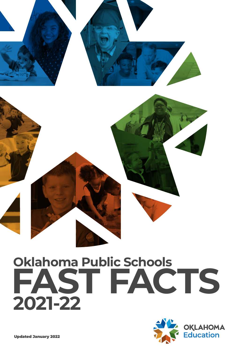

### **Oklahoma Public Schools FAST FACTS 2021-22**

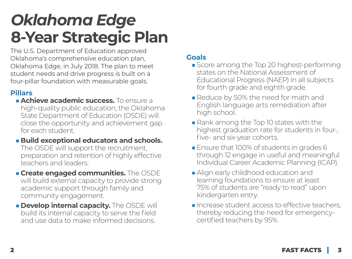### *Oklahoma Edge*  **8-Year Strategic Plan**

The U.S. Department of Education approved Oklahoma's comprehensive education plan, Oklahoma Edge, in July 2018. The plan to meet student needs and drive progress is built on a four-pillar foundation with measurable goals.

#### **Pillars**

- ■**Achieve academic success.** To ensure a high-quality public education, the Oklahoma State Department of Education (OSDE) will close the opportunity and achievement gap for each student.
- Build exceptional educators and schools. The OSDE will support the recruitment, preparation and retention of highly effective teachers and leaders.
- **Create engaged communities.** The OSDE will build external capacity to provide strong academic support through family and community engagement.
- **Burge Develop internal capacity.** The OSDE will build its internal capacity to serve the field and use data to make informed decisions.

#### **Goals**

- Score among the Top 20 highest-performing states on the National Assessment of Educational Progress (NAEP) in all subjects for fourth grade and eighth grade.
- Reduce by 50% the need for math and English language arts remediation after high school.
- Rank among the Top 10 states with the highest graduation rate for students in four-, five- and six-year cohorts.
- Ensure that 100% of students in grades 6 through 12 engage in useful and meaningful Individual Career Academic Planning (ICAP).
- Align early childhood education and learning foundations to ensure at least 75% of students are "ready to read" upon kindergarten entry.
- Increase student access to effective teachers, thereby reducing the need for emergencycertified teachers by 95%.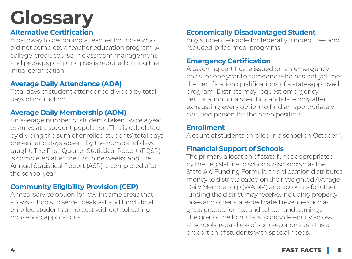# **Glossary**

#### **Alternative Certification**

A pathway to becoming a teacher for those who did not complete a teacher education program. A college-credit course in classroom management and pedagogical principles is required during the initial certification.

#### **Average Daily Attendance (ADA)**

Total days of student attendance divided by total days of instruction.

#### **Average Daily Membership (ADM)**

An average number of students taken twice a year to arrive at a student population. This is calculated by dividing the sum of enrolled students' total days present and days absent by the number of days taught. The First-Quarter Statistical Report (FQSR) is completed after the first nine weeks, and the Annual Statistical Report (ASR) is completed after the school year.

#### **Community Eligibility Provision (CEP)**

A meal service option for low-income areas that allows schools to serve breakfast and lunch to all enrolled students at no cost without collecting household applications.

#### **Economically Disadvantaged Student**

Any student eligible for federally funded free and reduced-price meal programs.

#### **Emergency Certification**

A teaching certificate issued on an emergency basis for one year to someone who has not yet met the certification qualifications of a state-approved program. Districts may request emergency certification for a specific candidate only after exhausting every option to find an appropriately certified person for the open position.

#### **Enrollment**

A count of students enrolled in a school on October 1.

#### **Financial Support of Schools**

The primary allocation of state funds appropriated by the Legislature to schools. Also known as the State Aid Funding Formula, this allocation distributes money to districts based on their Weighted Average Daily Membership (WADM) and accounts for other funding the district may receive, including property taxes and other state-dedicated revenue such as gross production tax and school land earnings. The goal of the formula is to provide equity across all schools, regardless of socio-economic status or proportion of students with special needs.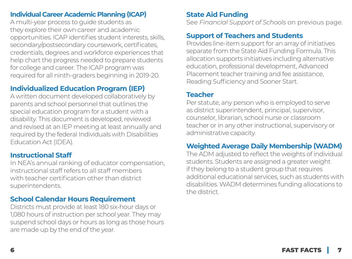#### **Individual Career Academic Planning (ICAP)**

A multi-year process to guide students as they explore their own career and academic opportunities. ICAP identifies student interests, skills, secondary/postsecondary coursework, certificates, credentials, degrees and workforce experiences that help chart the progress needed to prepare students for college and career. The ICAP program was required for all ninth-graders beginning in 2019-20.

#### **Individualized Education Program (IEP)**

A written document developed collaboratively by parents and school personnel that outlines the special education program for a student with a disability. This document is developed, reviewed and revised at an IEP meeting at least annually and required by the federal Individuals with Disabilities Education Act (IDEA).

#### **Instructional Staff**

In NEA's annual ranking of educator compensation, instructional staff refers to all staff members with teacher certification other than district superintendents.

#### **School Calendar Hours Requirement**

Districts must provide at least 180 six-hour days or 1,080 hours of instruction per school year. They may suspend school days or hours as long as those hours are made up by the end of the year.

#### **State Aid Funding**

See *Financial Support of Schools* on previous page.

#### **Support of Teachers and Students**

Provides line-item support for an array of initiatives separate from the State Aid Funding Formula. This allocation supports initiatives including alternative education, professional development, Advanced Placement teacher training and fee assistance, Reading Sufficiency and Sooner Start.

#### **Teacher**

Per statute, any person who is employed to serve as district superintendent, principal, supervisor, counselor, librarian, school nurse or classroom teacher or in any other instructional, supervisory or administrative capacity.

#### **Weighted Average Daily Membership (WADM)**

The ADM adjusted to reflect the weights of individual students. Students are assigned a greater weight if they belong to a student group that requires additional educational services, such as students with disabilities. WADM determines funding allocations to the district.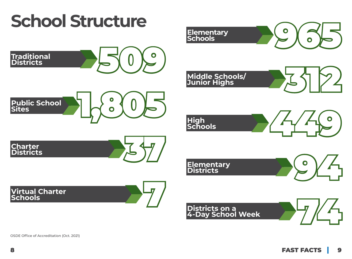

OSDE Office of Accreditation (Oct. 2021)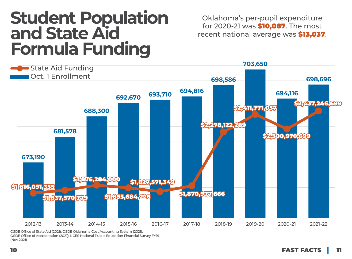### **Student Population and State Aid Formula Funding**

Oklahoma's per-pupil expenditure for 2020-21 was \$10,087. The most recent national average was \$13,037.



OSDE Office of State Aid (2021); OSDE Oklahoma Cost Accounting System (2021); OSDE Office of Accreditation (2021); NCES National Public Education Financial Survey FY19 (Nov 2021)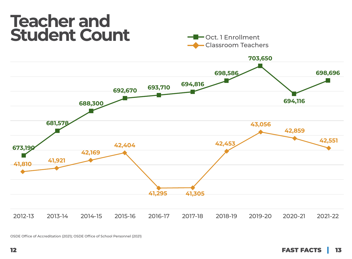### **Teacher and**  Student Count **Count Count**





OSDE Office of Accreditation (2021); OSDE Office of School Personnel (2021)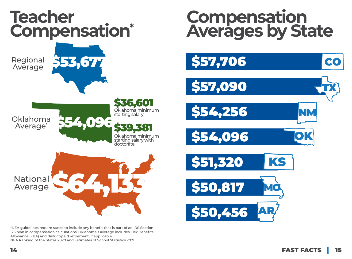

\*NEA guidelines require states to include any benefit that is part of an IRS Section 125 plan in compensation calculations. Oklahoma's average includes Flex Benefits Allowance (FBA) and district-paid retirement, if applicable. NEA Ranking of the States 2020 and Estimates of School Statistics 2021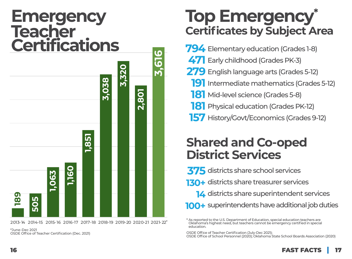### **Emergency Teacher Certifications**



2013- 14 2014-15 2015- 16 2016-17 2017-18 2018-19 2019-20 2020-21 2021- 22 \*

\*June-Dec 2021 OSDE Office of Teacher Certification (Dec. 2021)

### **Top Emergency\* Certificates by Subject Area**

Elementary education (Grades 1-8) **794** Early childhood (Grades PK-3) **471** English language arts (Grades 5-12) **279 191** Intermediate mathematics (Grades 5-12) Mid-level science (Grades 5-8) **181 181** Physical education (Grades PK-12) 157 History/Govt/Economics (Grades 9-12)

### **Shared and Co-oped District Services**

**375** districts share school services **130+** districts share treasurer services **14** districts share superintendent services **100+** superintendents have additional job duties

OSDE Office of Teacher Certification (July-Dec 2021);

OSDE Office of School Personnel (2020); Oklahoma State School Boards Association (2020)

<sup>\*</sup> As reported to the U.S. Department of Education, special education teachers are Oklahoma's highest need, but teachers cannot be emergency certified in special education.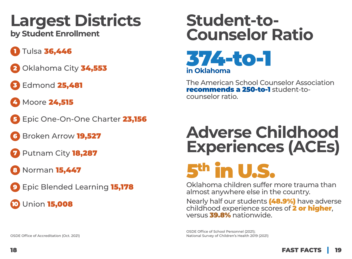# **Largest Districts**

**by Student Enrollment**

- 1 Tulsa 36,446
- 2 Oklahoma City 34,553
- **Edmond 25,481**
- **4 Moore 24,515**
- 5 Epic One-On-One Charter 23,156
- Broken Arrow 19,527
- Putnam City 18,287
- 8 Norman **15,447**
- 9 Epic Blended Learning 15,178
- **10** Union **15,008**

### **Student-to-Counselor Ratio**



The American School Counselor Association recommends a 250-to-1 student-tocounselor ratio.

### **Adverse Childhood Experiences (ACEs)**

# 5th in U.S.

Oklahoma children suffer more trauma than almost anywhere else in the country.

Nearly half our students (48.9%) have adverse childhood experience scores of 2 or higher, versus 39.8% nationwide.

OSDE Office of School Personnel (2021); National Survey of Children's Health 2019 (2021)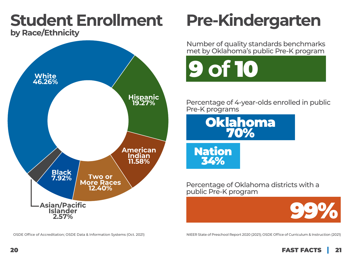#### **Student Enrollment by Race/Ethnicity**



OSDE Office of Accreditation; OSDE Data & Information Systems (Oct. 2021)

## **Pre-Kindergarten**

Number of quality standards benchmarks met by Oklahoma's public Pre-K program



Percentage of 4-year-olds enrolled in public Pre-K programs



Nation 34%

Percentage of Oklahoma districts with a public Pre-K program



NIEER State of Preschool Report 2020 (2021); OSDE Office of Curriculum & Instruction (2021)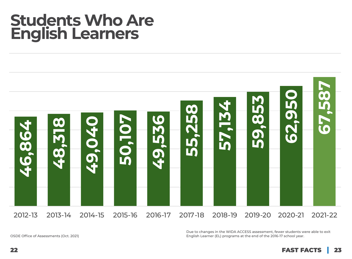### **Students Who Are English Learners**



Due to changes in the WIDA ACCESS assessment, fewer students were able to exit English Learner (EL) programs at the end of the 2016-17 school year.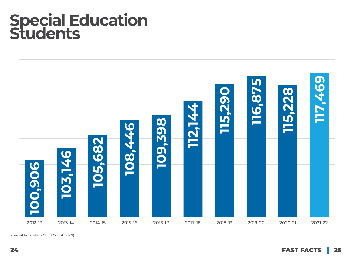### **Special Education Students**



Special Education Child Count (2021)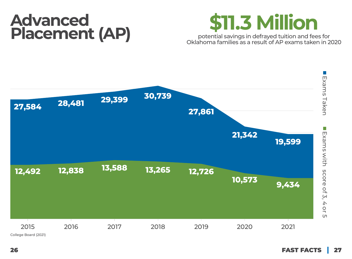### **Advanced**  Advanced **Placement (AP)**



potential savings in defrayed tuition and fees for Oklahoma families as a result of AP exams taken in 2020

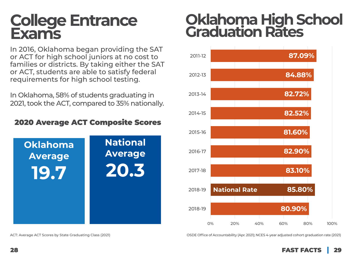### **College Entrance Exams**

In 2016, Oklahoma began providing the SAT or ACT for high school juniors at no cost to families or districts. By taking either the SAT or ACT, students are able to satisfy federal requirements for high school testing.

In Oklahoma, 58% of students graduating in 2021, took the ACT, compared to 35% nationally.

#### 2020 Average ACT Composite Scores



### **Oklahoma High School Graduation Rates**



ACT: Average ACT Scores by State Graduating Class (2021) OSDE Office of Accountability (Apr. 2021); NCES 4-year adjusted cohort graduation rate (2021)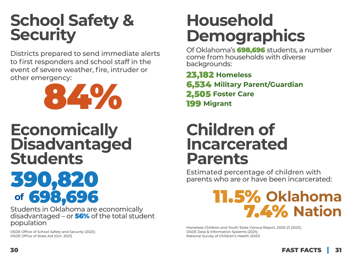### **School Safety & Security**

Districts prepared to send immediate alerts to first responders and school staff in the event of severe weather, fire, intruder or other emergency:



### **Economically Disadvantaged Students**

# **of** 698,696

Students in Oklahoma are economically disadvantaged – or  $56%$  of the total student population

OSDE Office of School Safety and Security (2021); OSDE Office of State Aid (Oct. 2021)

### **Household Demographics**

Of Oklahoma's 698,696 students, a number come from households with diverse backgrounds:

23,182 **Homeless** 6,534 **Military Parent/Guardian** 2,505 **Foster Care** 199 **Migrant**

### **Children of Incarcerated Parents**

Estimated percentage of children with<br>parents who are or have been incarcerate parents who are or have been incarcerated:

### 11.5% **Oklahoma** 7.4% **Nation**

Homeless Children and Youth State Census Report, 2020-21 (2021); OSDE Data & Information Systems (2021); National Survey of Children's Health (2021)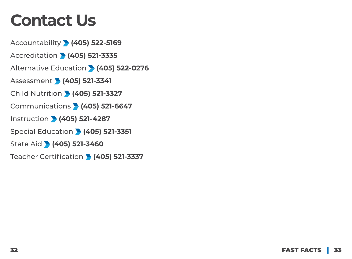### **Contact Us**

Accountability **(405) 522-5169** Accreditation **(405) 521-3335** Alternative Education **(405) 522-0276** Assessment **(405) 521-3341** Child Nutrition **(405) 521-3327** Communications **(405) 521-6647** Instruction **(405) 521-4287** Special Education **(405) 521-3351** State Aid **(405) 521-3460** Teacher Certification **(405) 521-3337**